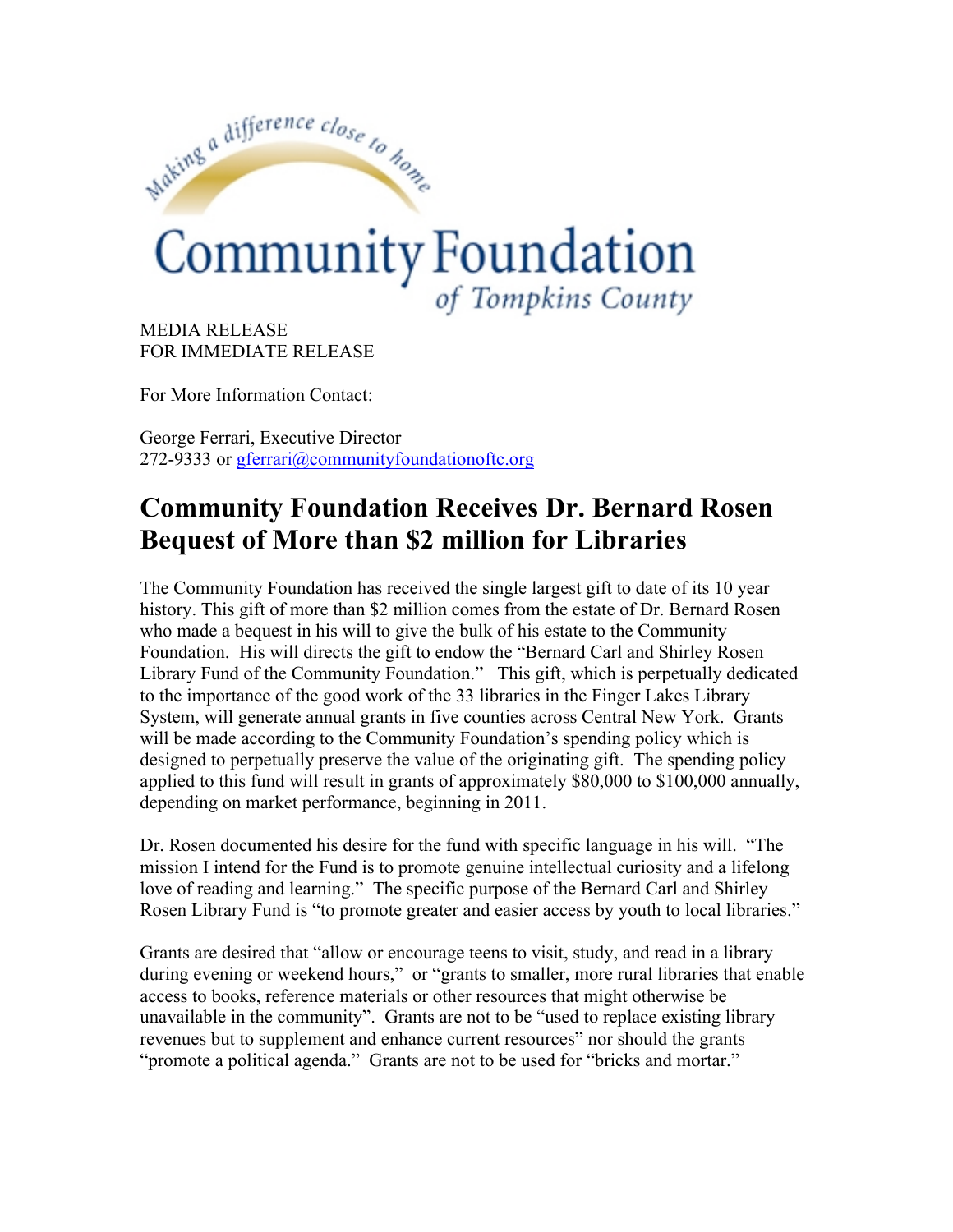

MEDIA RELEASE FOR IMMEDIATE RELEASE

For More Information Contact:

George Ferrari, Executive Director 272-9333 or gferrari@communityfoundationoftc.org

## **Community Foundation Receives Dr. Bernard Rosen Bequest of More than \$2 million for Libraries**

The Community Foundation has received the single largest gift to date of its 10 year history. This gift of more than \$2 million comes from the estate of Dr. Bernard Rosen who made a bequest in his will to give the bulk of his estate to the Community Foundation. His will directs the gift to endow the "Bernard Carl and Shirley Rosen Library Fund of the Community Foundation." This gift, which is perpetually dedicated to the importance of the good work of the 33 libraries in the Finger Lakes Library System, will generate annual grants in five counties across Central New York. Grants will be made according to the Community Foundation's spending policy which is designed to perpetually preserve the value of the originating gift. The spending policy applied to this fund will result in grants of approximately \$80,000 to \$100,000 annually, depending on market performance, beginning in 2011.

Dr. Rosen documented his desire for the fund with specific language in his will. "The mission I intend for the Fund is to promote genuine intellectual curiosity and a lifelong love of reading and learning."The specific purpose of the Bernard Carl and Shirley Rosen Library Fund is "to promote greater and easier access by youth to local libraries."

Grants are desired that "allow or encourage teens to visit, study, and read in a library during evening or weekend hours," or "grants to smaller, more rural libraries that enable access to books, reference materials or other resources that might otherwise be unavailable in the community". Grants are not to be "used to replace existing library revenues but to supplement and enhance current resources" nor should the grants "promote a political agenda." Grants are not to be used for "bricks and mortar."